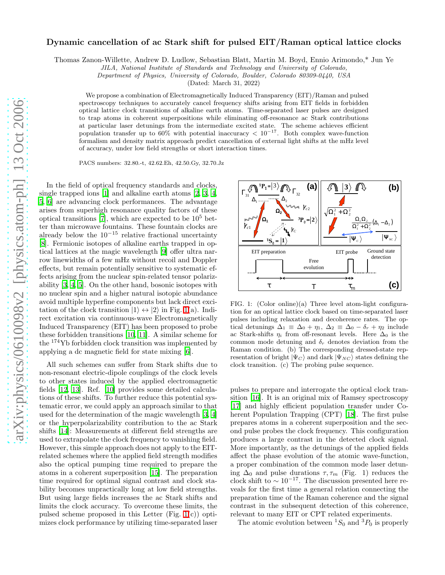## Dynamic cancellation of ac Stark shift for pulsed EIT/Raman optical lattice clocks

Thomas Zanon-Willette, Andrew D. Ludlow, Sebastian Blatt, Martin M. Boyd, Ennio Arimondo,\* Jun Ye

JILA, National Institute of Standards and Technology and University of Colorado,

Department of Physics, University of Colorado, Boulder, Colorado 80309-0440, USA

(Dated: March 31, 2022)

We propose a combination of Electromagnetically Induced Transparency (EIT)/Raman and pulsed spectroscopy techniques to accurately cancel frequency shifts arising from EIT fields in forbidden optical lattice clock transitions of alkaline earth atoms. Time-separated laser pulses are designed to trap atoms in coherent superpositions while eliminating off-resonance ac Stark contributions at particular laser detunings from the intermediate excited state. The scheme achieves efficient population transfer up to 60% with potential inaccuracy  $< 10^{-17}$ . Both complex wave-function formalism and density matrix approach predict cancellation of external light shifts at the mHz level of accuracy, under low field strengths or short interaction times.

PACS numbers: 32.80.-t, 42.62.Eh, 42.50.Gy, 32.70.Jz

In the field of optical frequency standards and clocks, single trapped ions [\[1\]](#page-3-0) and alkaline earth atoms [\[2,](#page-3-1) [3,](#page-3-2) [4](#page-3-3), 5, [6\]](#page-3-4) are advancing clock performances. The advantage arises from superhigh resonance quality factors of these optical transitions [\[7\]](#page-3-5), which are expected to be  $10<sup>5</sup>$  better than microwave fountains. These fountain clocks are already below the  $10^{-15}$  relative fractional uncertainty [\[8\]](#page-3-6). Fermionic isotopes of alkaline earths trapped in optical lattices at the magic wavelength [\[9](#page-3-7)] offer ultra narrow linewidths of a few mHz without recoil and Doppler effects, but remain potentially sensitive to systematic effects arising from the nuclear spin-related tensor polarizability [\[3](#page-3-2), [4,](#page-3-3) 5]. On the other hand, bosonic isotopes with no nuclear spin and a higher natural isotopic abundance avoid multiple hyperfine components but lack direct excitation of the clock transition  $|1\rangle \leftrightarrow |2\rangle$  in Fig. [1\(](#page-0-0)a). Indirect excitation via continuous-wave Electromagnetically Induced Transparency (EIT) has been proposed to probe these forbidden transitions [\[10](#page-3-8), [11\]](#page-3-9). A similar scheme for the <sup>174</sup>Yb forbidden clock transition was implemented by applying a dc magnetic field for state mixing [\[6\]](#page-3-4).

All such schemes can suffer from Stark shifts due to non-resonant electric-dipole couplings of the clock levels to other states induced by the applied electromagnetic fields [\[12,](#page-3-10) [13](#page-3-11)]. Ref. [\[10](#page-3-8)] provides some detailed calculations of these shifts. To further reduce this potential systematic error, we could apply an approach similar to that used for the determination of the magic wavelength [\[3,](#page-3-2) [4](#page-3-3)] or the hyperpolarizability contribution to the ac Stark shifts [\[14](#page-3-12)]: Measurements at different field strengths are used to extrapolate the clock frequency to vanishing field. However, this simple approach does not apply to the EITrelated schemes where the applied field strength modifies also the optical pumping time required to prepare the atoms in a coherent superposition [\[15](#page-3-13)]. The preparation time required for optimal signal contrast and clock stability becomes unpractically long at low field strengths. But using large fields increases the ac Stark shifts and limits the clock accuracy. To overcome these limits, the pulsed scheme proposed in this Letter (Fig. [1\(](#page-0-0)c)) optimizes clock performance by utilizing time-separated laser



<span id="page-0-0"></span>FIG. 1: (Color online)(a) Three level atom-light configuration for an optical lattice clock based on time-separated laser pulses including relaxation and decoherence rates. The optical detunings  $\Delta_1 \equiv \Delta_0 + \eta_1$ ,  $\Delta_2 \equiv \Delta_0 - \delta_r + \eta_2$  include ac Stark-shifts  $\eta_i$  from off-resonant levels. Here  $\Delta_0$  is the common mode detuning and  $\delta_r$  denotes deviation from the Raman condition. (b) The corresponding dressed-state representation of bright  $|\Psi_C\rangle$  and dark  $|\Psi_{NC}\rangle$  states defining the clock transition. (c) The probing pulse sequence.

pulses to prepare and interrogate the optical clock transition [\[16\]](#page-3-14). It is an original mix of Ramsey spectroscopy [\[17\]](#page-3-15) and highly efficient population transfer under Coherent Population Trapping (CPT) [\[18\]](#page-3-16). The first pulse prepares atoms in a coherent superposition and the second pulse probes the clock frequency. This configuration produces a large contrast in the detected clock signal. More importantly, as the detunings of the applied fields affect the phase evolution of the atomic wave-function, a proper combination of the common mode laser detuning  $\Delta_0$  and pulse durations  $\tau, \tau_m$  (Fig. 1) reduces the clock shift to  $\sim 10^{-17}$ . The discussion presented here reveals for the first time a general relation connecting the preparation time of the Raman coherence and the signal contrast in the subsequent detection of this coherence, relevant to many EIT or CPT related experiments.

The atomic evolution between  ${}^{1}S_{0}$  and  ${}^{3}P_{0}$  is properly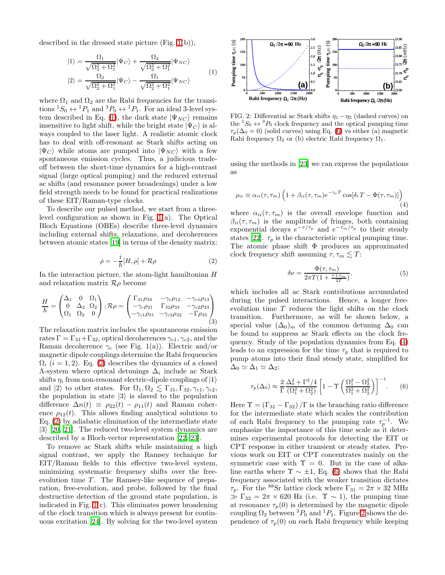described in the dressed state picture (Fig. [1\(](#page-0-0)b)),

$$
|1\rangle = \frac{\Omega_1}{\sqrt{\Omega_2^2 + \Omega_1^2}} |\Psi_C\rangle + \frac{\Omega_2}{\sqrt{\Omega_2^2 + \Omega_1^2}} |\Psi_{NC}\rangle
$$
  

$$
|2\rangle = \frac{\Omega_2}{\sqrt{\Omega_2^2 + \Omega_1^2}} |\Psi_C\rangle - \frac{\Omega_1}{\sqrt{\Omega_2^2 + \Omega_1^2}} |\Psi_{NC}\rangle
$$
 (1)

where  $\Omega_1$  and  $\Omega_2$  are the Rabi frequencies for the transitions  ${}^1S_0 \leftrightarrow {}^1P_1$  and  ${}^3P_0 \leftrightarrow {}^1P_1$ . For an ideal 3-level sys-tem described in Eq. [\(1\)](#page-1-0), the dark state  $|\Psi_{NC}\rangle$  remains insensitive to light shift, while the bright state  $|\Psi_C\rangle$  is always coupled to the laser light. A realistic atomic clock has to deal with off-resonant ac Stark shifts acting on  $|\Psi_C\rangle$  while atoms are pumped into  $|\Psi_{NC}\rangle$  with a few spontaneous emission cycles. Thus, a judicious tradeoff between the short-time dynamics for a high-contrast signal (large optical pumping) and the reduced external ac shifts (and resonance power broadenings) under a low field strength needs to be found for practical realizations of these EIT/Raman-type clocks.

<span id="page-1-1"></span>To describe our pulsed method, we start from a threelevel configuration as shown in Fig. [1\(](#page-0-0)a). The Optical Bloch Equations (OBEs) describe three-level dynamics including external shifts, relaxations, and decoherences between atomic states [\[19\]](#page-3-17) in terms of the density matrix:

<span id="page-1-6"></span>
$$
\dot{\rho} = -\frac{i}{\hbar} [H, \rho] + \mathcal{R}\rho \tag{2}
$$

In the interaction picture, the atom-light hamiltonian  $H$ and relaxation matrix  $\mathcal{R}\rho$  become

$$
\frac{H}{\hbar} = \begin{pmatrix} \Delta_1 & 0 & \Omega_1 \\ 0 & \Delta_2 & \Omega_2 \\ \Omega_1 & \Omega_2 & 0 \end{pmatrix}; \mathcal{R}\rho = \begin{pmatrix} \Gamma_{31}\rho_{33} & -\gamma_c \rho_{12} & -\gamma_{c1}\rho_{13} \\ -\gamma_c \rho_{21} & \Gamma_{32}\rho_{33} & -\gamma_c 2\rho_{23} \\ -\gamma_{c1}\rho_{31} & -\gamma_{c2}\rho_{32} & -\Gamma \rho_{33} \end{pmatrix}
$$
\n(3)

The relaxation matrix includes the spontaneous emission rates  $\Gamma = \Gamma_{31} + \Gamma_{32}$ , optical decoherences  $\gamma_{c1}, \gamma_{c2}$ , and the Raman decoherence  $\gamma_c$  (see Fig. 1(a)). Electric and/or magnetic dipole couplings determine the Rabi frequencies  $\Omega_i$  (i = 1, 2). Eq. [\(2\)](#page-1-1) describes the dynamics of a closed  $\Lambda$ -system where optical detunings  $\Delta_i$  include ac Stark shifts  $\eta_i$  from non-resonant electric-dipole couplings of  $|1\rangle$ and  $|2\rangle$  to other states. For  $\Omega_1, \Omega_2 \leq \Gamma_{31}, \Gamma_{32}, \gamma_{c1}, \gamma_{c2}$ , the population in state  $|3\rangle$  is slaved to the population difference  $\Delta n(t) \equiv \rho_{22}(t) - \rho_{11}(t)$  and Raman coherence  $\rho_{12}(t)$ . This allows finding analytical solutions to Eq. [\(2\)](#page-1-1) by adiabatic elimination of the intermediate state  $|3\rangle$  [\[20,](#page-3-18) [21](#page-3-19)]. The reduced two-level system dynamics are described by a Bloch-vector representation [\[22](#page-3-20), [23](#page-3-21)].

To remove ac Stark shifts while maintaining a high signal contrast, we apply the Ramsey technique for EIT/Raman fields to this effective two-level system, minimizing systematic frequency shifts over the freeevolution time  $T$ . The Ramsey-like sequence of preparation, free-evolution, and probe, followed by the final destructive detection of the ground state population, is indicated in Fig. [1\(](#page-0-0)c). This eliminates power broadening of the clock transition which is always present for continuous excitation [\[24](#page-3-22)]. By solving for the two-level system

<span id="page-1-0"></span>

<span id="page-1-4"></span>FIG. 2: Differential ac Stark shifts  $\eta_1 - \eta_2$  (dashed curves) on the  ${}^1S_0 \leftrightarrow {}^3P_0$  clock frequency and the optical pumping time  $\tau_p(\Delta_0 = 0)$  (solid curves) using Eq. [\(6\)](#page-1-2) vs either (a) magnetic Rabi frequency  $\Omega_2$  or (b) electric Rabi frequency  $\Omega_1$ .

<span id="page-1-3"></span>using the methods in [\[23\]](#page-3-21) we can express the populations as

$$
\rho_{ii} \equiv \alpha_{ii}(\tau, \tau_m) \left( 1 + \beta_{ii}(\tau, \tau_m) e^{-\gamma_c T} \cos[\delta_r T - \Phi(\tau, \tau_m)] \right)
$$
\n(4)

where  $\alpha_{ii}(\tau, \tau_m)$  is the overall envelope function and  $\beta_{ii}(\tau, \tau_m)$  is the amplitude of fringes, both containing exponential decays  $e^{-\tau/\tau_p}$  and  $e^{-\tau_m/\tau_p}$  to their steady states [\[22\]](#page-3-20).  $\tau_p$  is the characteristic optical pumping time. The atomic phase shift Φ produces an approximated clock frequency shift assuming  $\tau, \tau_m \lesssim T$ :

<span id="page-1-5"></span>
$$
\delta \nu = \frac{\Phi(\tau, \tau_m)}{2\pi T \left(1 + \frac{\tau + \tau_m}{2T}\right)},\tag{5}
$$

which includes all ac Stark contributions accumulated during the pulsed interactions. Hence, a longer freeevolution time T reduces the light shifts on the clock transition. Furthermore, as will be shown below, a special value  $(\Delta_0)_m$  of the common detuning  $\Delta_0$  can be found to suppress ac Stark effects on the clock frequency. Study of the population dynamics from Eq. [\(4\)](#page-1-3) leads to an expression for the time  $\tau_p$  that is required to pump atoms into their final steady state, simplified for  $\Delta_0 \simeq \Delta_1 \simeq \Delta_2$ :

<span id="page-1-2"></span>
$$
\tau_p(\Delta_0) \approx \frac{2}{\Gamma} \frac{\Delta_0^2 + \Gamma^2/4}{(\Omega_1^2 + \Omega_2^2)} \left[ 1 - \Upsilon \left( \frac{\Omega_1^2 - \Omega_2^2}{\Omega_1^2 + \Omega_2^2} \right) \right]^{-1}.
$$
 (6)

Here  $\Upsilon = (\Gamma_{31} - \Gamma_{32})/\Gamma$  is the branching ratio difference for the intermediate state which scales the contribution of each Rabi frequency to the pumping rate  $\tau_p^{-1}$ . We emphasize the importance of this time scale as it determines experimental protocols for detecting the EIT or CPT response in either transient or steady states. Previous work on EIT or CPT concentrates mainly on the symmetric case with  $\Upsilon = 0$ . But in the case of alkaline earths where  $\Upsilon \sim \pm 1$ , Eq. [\(6\)](#page-1-2) shows that the Rabi frequency associated with the weaker transition dictates  $\tau_p$ . For the <sup>88</sup>Sr lattice clock where  $\Gamma_{31} = 2\pi \times 32$  MHz  $\mathcal{D}$  Γ<sub>32</sub> = 2π × 620 Hz (i.e. Υ ~ 1), the pumping time at resonance  $\tau_p(0)$  is determined by the magnetic dipole coupling  $\Omega_2$  between  ${}^3P_0$  and  ${}^1P_1$ . Figure [2](#page-1-4) shows the dependence of  $\tau_p(0)$  on each Rabi frequency while keeping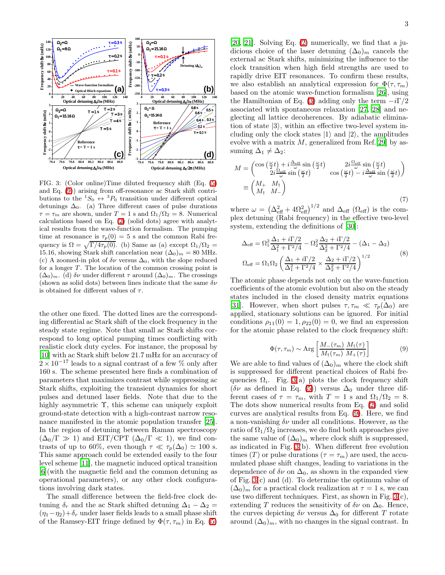

<span id="page-2-1"></span>FIG. 3: (Color online)Time diluted frequency shift (Eq. [\(5\)](#page-1-5) and Eq. [\(9\)](#page-2-0)) arising from off-resonance ac Stark shift contributions to the  ${}^1S_0 \leftrightarrow {}^3P_0$  transition under different optical detunings  $\Delta_0$ . (a) Three different cases of pulse durations  $\tau = \tau_m$  are shown, under  $T = 1$  s and  $\Omega_1/\Omega_2 = 8$ . Numerical calculations based on Eq. [\(2\)](#page-1-1) (solid dots) agree with analytical results from the wave-function formalism. The pumping time at resonance is  $\tau_p(0) = 5$  s and the common Rabi frequency is  $\Omega = \sqrt{\Gamma/4\tau_p(0)}$ . (b) Same as (a) except  $\Omega_1/\Omega_2 =$ 15.16, showing Stark shift cancelation near  $(\Delta_0)_m = 80$  MHz. (c) A zoomed-in plot of  $\delta \nu$  versus  $\Delta_0$ , with the slope reduced for a longer  $T$ . The location of the common crossing point is  $(\Delta_0)_m$ . (d)  $\delta \nu$  under different  $\tau$  around  $(\Delta_0)_m$ . The crossings (shown as solid dots) between lines indicate that the same  $\delta \nu$ is obtained for different values of  $\tau$ .

the other one fixed. The dotted lines are the corresponding differential ac Stark shift of the clock frequency in the steady state regime. Note that small ac Stark shifts correspond to long optical pumping times conflicting with realistic clock duty cycles. For instance, the proposal by [\[10\]](#page-3-8) with ac Stark shift below 21.7 mHz for an accuracy of  $2 \times 10^{-17}$  leads to a signal contrast of a few % only after 160 s. The scheme presented here finds a combination of parameters that maximizes contrast while suppressing ac Stark shifts, exploiting the transient dynamics for short pulses and detuned laser fields. Note that due to the highly asymmetric  $\Upsilon$ , this scheme can uniquely exploit ground-state detection with a high-contrast narrow resonance manifested in the atomic population transfer [\[25\]](#page-3-23). In the region of detuning between Raman spectroscopy  $(\Delta_0/\Gamma \gg 1)$  and EIT/CPT  $(\Delta_0/\Gamma \ll 1)$ , we find contrasts of up to 60%, even though  $\tau \ll \tau_p(\Delta_0) \simeq 100$  s. This same approach could be extended easily to the four level scheme [\[11](#page-3-9)], the magnetic induced optical transition [\[6\]](#page-3-4)(with the magnetic field and the common detuning as operational parameters), or any other clock configurations involving dark states.

The small difference between the field-free clock detuning  $\delta_r$  and the ac Stark shifted detuning  $\Delta_1 - \Delta_2 =$  $(\eta_1-\eta_2)+\delta_r$  under laser fields leads to a small phase shift of the Ramsey-EIT fringe defined by  $\Phi(\tau, \tau_m)$  in Eq. [\(5\)](#page-1-5)

[\[20,](#page-3-18) [21](#page-3-19)]. Solving Eq. [\(2\)](#page-1-1) numerically, we find that a judicious choice of the laser detuning  $(\Delta_0)_m$  cancels the external ac Stark shifts, minimizing the influence to the clock transition when high field strengths are used to rapidly drive EIT resonances. To confirm these results, we also establish an analytical expression for  $\Phi(\tau, \tau_m)$ based on the atomic wave-function formalism [\[26\]](#page-3-24), using the Hamiltonian of Eq. [\(3\)](#page-1-6) adding only the term  $-i\Gamma/2$ associated with spontaneous relaxation [\[27,](#page-3-25) [28](#page-3-26)] and neglecting all lattice decoherences. By adiabatic elimination of state  $|3\rangle$ , within an effective two-level system including only the clock states  $|1\rangle$  and  $|2\rangle$ , the amplitudes evolve with a matrix  $M$ , generalized from Ref.[\[29\]](#page-3-27) by assuming  $\Delta_1 \neq \Delta_2$ :

$$
M = \begin{pmatrix} \cos\left(\frac{\omega}{2}t\right) + i\frac{\Delta_{\text{eff}}}{\omega}\sin\left(\frac{\omega}{2}t\right) & 2i\frac{\Omega_{\text{eff}}}{\omega}\sin\left(\frac{\omega}{2}t\right) \\ 2i\frac{\Omega_{\text{eff}}}{\omega}\sin\left(\frac{\omega}{2}t\right) & \cos\left(\frac{\omega}{2}t\right) - i\frac{\Delta_{\text{eff}}}{\omega}\sin\left(\frac{\omega}{2}t\right) \end{pmatrix}
$$

$$
\equiv \begin{pmatrix} M_{+} & M_{\uparrow} \\ M_{\uparrow} & M_{-} \end{pmatrix}
$$
(7)

where  $\omega = (\Delta_{\text{eff}}^2 + 4\Omega_{\text{eff}}^2)^{1/2}$  and  $\Delta_{\text{eff}}$  ( $\Omega_{\text{eff}}$ ) is the complex detuning (Rabi frequency) in the effective two-level system, extending the definitions of [\[30\]](#page-3-28):

$$
\Delta_{\text{eff}} = \Omega_1^2 \frac{\Delta_1 + i\Gamma/2}{\Delta_1^2 + \Gamma^2/4} - \Omega_2^2 \frac{\Delta_2 + i\Gamma/2}{\Delta_2^2 + \Gamma^2/4} - (\Delta_1 - \Delta_2) \n\Omega_{\text{eff}} = \Omega_1 \Omega_2 \left( \frac{\Delta_1 + i\Gamma/2}{\Delta_1^2 + \Gamma^2/4} \times \frac{\Delta_2 + i\Gamma/2}{\Delta_2^2 + \Gamma^2/4} \right)^{1/2}
$$
\n(8)

The atomic phase depends not only on the wave-function coefficients of the atomic evolution but also on the steady states included in the closed density matrix equations [\[31\]](#page-3-29). However, when short pulses  $\tau, \tau_m \ll \tau_p(\Delta_0)$  are applied, stationary solutions can be ignored. For initial conditions  $\rho_{11}(0) = 1, \rho_{22}(0) = 0$ , we find an expression for the atomic phase related to the clock frequency shift:

$$
\Phi(\tau, \tau_m) \sim \text{Arg}\left[\frac{M_{-}(\tau_m)}{M_{\dagger}(\tau_m)} \frac{M_{\dagger}(\tau)}{M_{+}(\tau)}\right] \tag{9}
$$

<span id="page-2-0"></span>We are able to find values of  $(\Delta_0)_m$  where the clock shift is suppressed for different practical choices of Rabi frequencies  $\Omega_i$ . Fig. [3\(](#page-2-1)a) plots the clock frequency shift  $(\delta \nu \text{ as defined in Eq. (5)})$  $(\delta \nu \text{ as defined in Eq. (5)})$  $(\delta \nu \text{ as defined in Eq. (5)})$  versus  $\Delta_0$  under three different cases of  $\tau = \tau_m$ , with  $T = 1$  s and  $\Omega_1/\Omega_2 = 8$ . The dots show numerical results from Eq. [\(2\)](#page-1-1) and solid curves are analytical results from Eq. [\(9\)](#page-2-0). Here, we find a non-vanishing  $\delta \nu$  under all conditions. However, as the ratio of  $\Omega_1/\Omega_2$  increases, we do find both approaches give the same value of  $({\Delta}_0)_m$  where clock shift is suppressed, as indicated in Fig. [3\(](#page-2-1)b). When different free evolution times (T) or pulse durations ( $\tau = \tau_m$ ) are used, the accumulated phase shift changes, leading to variations in the dependence of  $\delta \nu$  on  $\Delta_0$ , as shown in the expanded view of Fig. [3\(](#page-2-1)c) and (d). To determine the optimum value of  $(\Delta_0)_m$  for a practical clock realization at  $\tau = 1$  s, we can use two different techniques. First, as shown in Fig.  $3(c)$ , extending T reduces the sensitivity of  $\delta \nu$  on  $\Delta_0$ . Hence, the curves depicting  $\delta \nu$  versus  $\Delta_0$  for different T rotate around  $(\Delta_0)_m$ , with no changes in the signal contrast. In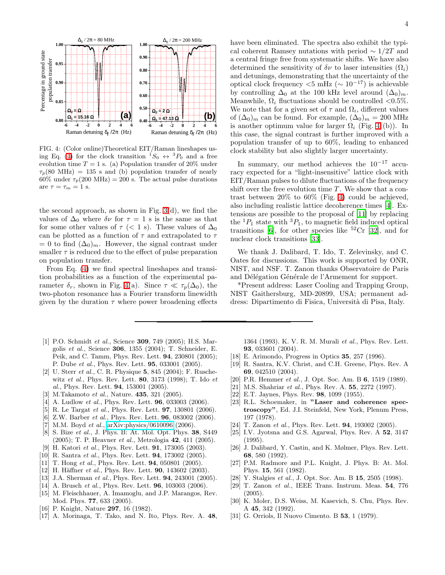

<span id="page-3-30"></span>FIG. 4: (Color online)Theoretical EIT/Raman lineshapes us-ing Eq. [\(4\)](#page-1-3) for the clock transition  ${}^{1}S_0 \leftrightarrow {}^{3}P_0$  and a free evolution time  $T = 1$  s. (a) Population transfer of 20% under  $\tau_p(80 \text{ MHz}) = 135 \text{ s and (b) population transfer of nearly}$  $60\%$  under  $\tau_p(200 \text{ MHz}) = 200 \text{ s}$ . The actual pulse durations are  $\tau = \tau_m = 1$  s.

the second approach, as shown in Fig. [3\(](#page-2-1)d), we find the values of  $\Delta_0$  where  $\delta \nu$  for  $\tau = 1$  s is the same as that for some other values of  $\tau$  (< 1 s). These values of  $\Delta_0$ can be plotted as a function of  $\tau$  and extrapolated to  $\tau$  $= 0$  to find  $(\Delta_0)_m$ . However, the signal contrast under smaller  $\tau$  is reduced due to the effect of pulse preparation on population transfer.

From Eq. [\(4\)](#page-1-3) we find spectral lineshapes and transition probabilities as a function of the experimental parameter  $\delta_r$ , shown in Fig. [4\(](#page-3-30)a). Since  $\tau \ll \tau_p(\Delta_0)$ , the two-photon resonance has a Fourier transform linewidth given by the duration  $\tau$  where power broadening effects

- <span id="page-3-0"></span>[1] P.O. Schmidt *et al.*, Science **309**, 749 (2005); H.S. Margolis et al., Science 306, 1355 (2004); T. Schneider, E. Peik, and C. Tamm, Phys. Rev. Lett. 94, 230801 (2005); P. Dube et al., Phys. Rev. Lett. 95, 033001 (2005).
- <span id="page-3-1"></span>[2] U. Sterr et al., C. R. Physique 5, 845 (2004); F. Ruschewitz et al., Phys. Rev. Lett. 80, 3173 (1998); T. Ido et al., Phys. Rev. Lett. 94, 153001 (2005).
- [3] M.Takamoto et al., Nature. **435**, 321 (2005).
- <span id="page-3-3"></span><span id="page-3-2"></span>[4] A. Ludlow *et al.*, Phys. Rev. Lett. **96**, 033003 (2006).
- [5] R. Le Targat *et al.*, Phys. Rev. Lett. **97**, 130801 (2006).
- <span id="page-3-4"></span>[6] Z.W. Barber *et al.*, Phys. Rev. Lett. **96**, 083002 (2006).
- <span id="page-3-5"></span>[7] M.M. Boyd et al.,  $arXiv:physics/0610096$  (2006).
- <span id="page-3-6"></span>[8] S. Bize *et al.*, J. Phys. B: At. Mol. Opt. Phys. **38**, S449 (2005); T. P. Heavner et al., Metrologia 42, 411 (2005).
- [9] H. Katori et al., Phys. Rev. Lett. 91, 173005 (2003).
- <span id="page-3-8"></span><span id="page-3-7"></span>[10] R. Santra et al., Phys. Rev. Lett. **94**, 173002 (2005).
- <span id="page-3-9"></span>[11] T. Hong et al., Phys. Rev. Lett. **94**, 050801 (2005).
- <span id="page-3-10"></span>[12] H. Häffner et al., Phys. Rev. Lett.  $90$ , 143602 (2003).
- <span id="page-3-11"></span>[13] J.A. Sherman et al., Phys. Rev. Lett. **94**, 243001 (2005).
- <span id="page-3-12"></span>[14] A. Brusch et al., Phys. Rev. Lett. **96**, 103003 (2006).
- <span id="page-3-13"></span>[15] M. Fleischhauer, A. Imamoglu, and J.P. Marangos, Rev. Mod. Phys. 77, 633 (2005).
- <span id="page-3-14"></span>[16] P. Knight, Nature **297**, 16 (1982).
- <span id="page-3-15"></span>[17] A. Morinaga, T. Tako, and N. Ito, Phys. Rev. A. 48,

have been eliminated. The spectra also exhibit the typical coherent Ramsey nutations with period  $\sim 1/2T$  and a central fringe free from systematic shifts. We have also determined the sensitivity of  $\delta \nu$  to laser intensities  $(\Omega_i)$ and detunings, demonstrating that the uncertainty of the optical clock frequency  $< 5$  mHz ( $\sim 10^{-17}$ ) is achievable by controlling  $\Delta_0$  at the 100 kHz level around  $(\Delta_0)_m$ . Meanwhile,  $\Omega_i$  fluctuations should be controlled <0.5%. We note that for a given set of  $\tau$  and  $\Omega_i$ , different values of  $(\Delta_0)_m$  can be found. For example,  $(\Delta_0)_m = 200$  MHz is another optimum value for larger  $\Omega_i$  (Fig. [4](#page-3-30) (b)). In this case, the signal contrast is further improved with a population transfer of up to 60%, leading to enhanced clock stability but also slightly larger uncertainty.

In summary, our method achieves the  $10^{-17}$  accuracy expected for a "light-insensitive" lattice clock with EIT/Raman pulses to dilute fluctuations of the frequency shift over the free evolution time  $T$ . We show that a contrast between 20% to 60% (Fig. [4\)](#page-3-30) could be achieved, also including realistic lattice decoherence times [\[4\]](#page-3-3). Extensions are possible to the proposal of [\[11\]](#page-3-9) by replacing the  ${}^{1}P_1$  state with  ${}^{3}P_1$ , to magnetic field induced optical transitions [\[6](#page-3-4)], for other species like  ${}^{52}Cr$  [\[32](#page-4-0)], and for nuclear clock transitions [\[33\]](#page-4-1).

We thank J. Dalibard, T. Ido, T. Zelevinsky, and C. Oates for discussions. This work is supported by ONR, NIST, and NSF. T. Zanon thanks Observatoire de Paris and Délégation Générale de l'Armement for support.

\*Present address: Laser Cooling and Trapping Group, NIST Gaithersburg, MD-20899, USA; permanent address: Dipartimento di Fisica, Universit`a di Pisa, Italy.

1364 (1993). K. V. R. M. Murali et al., Phys. Rev. Lett. 93, 033601 (2004).

- [18] E. Arimondo, Progress in Optics 35, 257 (1996).
- <span id="page-3-17"></span><span id="page-3-16"></span>[19] R. Santra, K.V. Christ, and C.H. Greene, Phys. Rev. A 69, 042510 (2004).
- <span id="page-3-20"></span><span id="page-3-19"></span><span id="page-3-18"></span>[20] P.R. Hemmer et al., J. Opt. Soc. Am. B 6, 1519 (1989).
- [21] M.S. Shahriar et al., Phys. Rev. A. 55, 2272 (1997).
- [22] E.T. Jaynes, Phys. Rev. 98, 1099 (1955).
- <span id="page-3-21"></span>[23] R.L. Schoemaker, in "Laser and coherence spectroscopy", Ed. J.I. Steinfeld, New York, Plenum Press, 197 (1978).
- <span id="page-3-22"></span>[24] T. Zanon et al., Phys. Rev. Lett. **94**, 193002 (2005).
- <span id="page-3-23"></span>[25] I.V. Jyotsna and G.S. Agarwal, Phys. Rev. A 52, 3147 (1995).
- <span id="page-3-24"></span>[26] J. Dalibard, Y. Castin, and K. Mølmer, Phys. Rev. Lett. 68, 580 (1992).
- <span id="page-3-25"></span>[27] P.M. Radmore and P.L. Knight, J. Phys. B: At. Mol. Phys. 15, 561 (1982).
- [28] Y. Stalgies et al., J. Opt. Soc. Am. B 15, 2505 (1998).
- <span id="page-3-27"></span><span id="page-3-26"></span>[29] T. Zanon et al., IEEE Trans. Instrum. Meas. 54, 776 (2005).
- <span id="page-3-28"></span>[30] K. Moler, D.S. Weiss, M. Kasevich, S. Chu, Phys. Rev. A 45, 342 (1992).
- <span id="page-3-29"></span>[31] G. Orriols, Il Nuovo Cimento. B 53, 1 (1979).